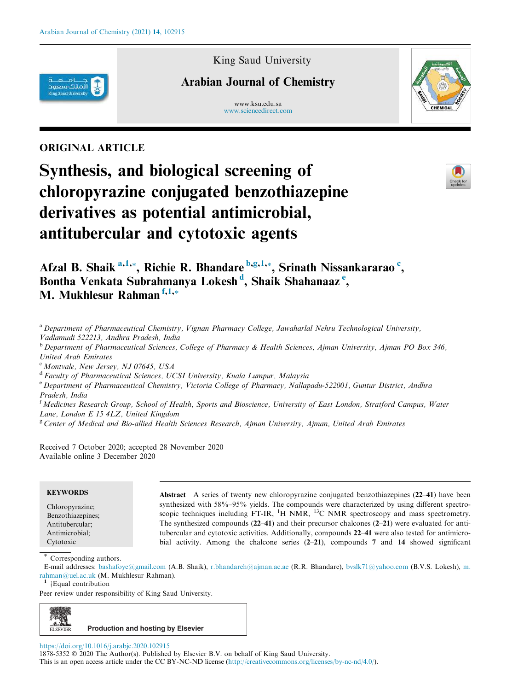

King Saud University

# Arabian Journal of Chemistry

www.ksu.edu.sa www.sciencedirect.com



# ORIGINAL ARTICLE

# Synthesis, and biological screening of chloropyrazine conjugated benzothiazepine derivatives as potential antimicrobial, antitubercular and cytotoxic agents



Afzal B. Shaik <sup>a,1,\*</sup>, Richie R. Bhandare <sup>b,g,1,\*</sup>, Srinath Nissankararao <sup>c</sup>, Bontha Venkata Subrahmanya Lokesh<sup>d</sup>, Shaik Shahanaaz<sup>e</sup>, M. Mukhlesur Rahman f,1,<sub>\*</sub>

a Department of Pharmaceutical Chemistry, Vignan Pharmacy College, Jawaharlal Nehru Technological University, Vadlamudi 522213, Andhra Pradesh, India

<sup>b</sup> Department of Pharmaceutical Sciences, College of Pharmacy & Health Sciences, Ajman University, Ajman PO Box 346, United Arab Emirates

 $c$  Montvale, New Jersey, NJ 07645, USA

<sup>d</sup> Faculty of Pharmaceutical Sciences, UCSI University, Kuala Lumpur, Malaysia

e Department of Pharmaceutical Chemistry, Victoria College of Pharmacy, Nallapadu-522001, Guntur District, Andhra Pradesh, India

 $f<sup>f</sup>$  Medicines Research Group, School of Health, Sports and Bioscience, University of East London, Stratford Campus, Water Lane, London E 15 4LZ, United Kingdom

 $g^g$  Center of Medical and Bio-allied Health Sciences Research, Ajman University, Ajman, United Arab Emirates

Received 7 October 2020; accepted 28 November 2020 Available online 3 December 2020

## **KEYWORDS**

Chloropyrazine; Benzothiazepines; Antitubercular; Antimicrobial; Cytotoxic

Abstract A series of twenty new chloropyrazine conjugated benzothiazepines (22–41) have been synthesized with 58%–95% yields. The compounds were characterized by using different spectroscopic techniques including FT-IR, <sup>1</sup>H NMR, <sup>13</sup>C NMR spectroscopy and mass spectrometry. The synthesized compounds (22–41) and their precursor chalcones (2–21) were evaluated for antitubercular and cytotoxic activities. Additionally, compounds 22–41 were also tested for antimicrobial activity. Among the chalcone series (2–21), compounds 7 and 14 showed significant

E-mail addresses: bashafoye@gmail.com (A.B. Shaik), r.bhandareh@ajman.ac.ae (R.R. Bhandare), bvslk71@yahoo.com (B.V.S. Lokesh), m. rahman@uel.ac.uk (M. Mukhlesur Rahman).

<sup>1</sup> †Equal contribution

Peer review under responsibility of King Saud University.



https://doi.org/10.1016/j.arabjc.2020.102915

1878-5352 © 2020 The Author(s). Published by Elsevier B.V. on behalf of King Saud University.

This is an open access article under the CC BY-NC-ND license (http://creativecommons.org/licenses/by-nc-nd/4.0/).

Corresponding authors.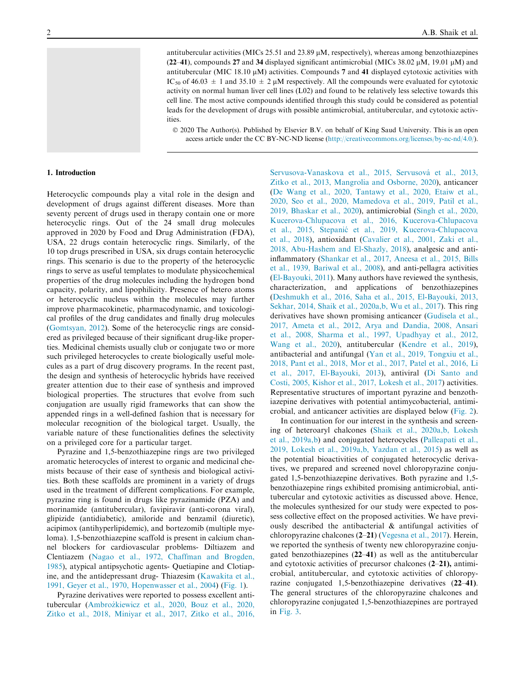antitubercular activities (MICs 25.51 and 23.89  $\mu$ M, respectively), whereas among benzothiazepines (22–41), compounds 27 and 34 displayed significant antimicrobial (MICs 38.02  $\mu$ M, 19.01  $\mu$ M) and antitubercular (MIC 18.10  $\mu$ M) activities. Compounds 7 and 41 displayed cytotoxic activities with IC<sub>50</sub> of 46.03  $\pm$  1 and 35.10  $\pm$  2  $\mu$ M respectively. All the compounds were evaluated for cytotoxic activity on normal human liver cell lines (L02) and found to be relatively less selective towards this cell line. The most active compounds identified through this study could be considered as potential leads for the development of drugs with possible antimicrobial, antitubercular, and cytotoxic activities.

 2020 The Author(s). Published by Elsevier B.V. on behalf of King Saud University. This is an open access article under the CC BY-NC-ND license (http://creativecommons.org/licenses/by-nc-nd/4.0/).

#### 1. Introduction

Heterocyclic compounds play a vital role in the design and development of drugs against different diseases. More than seventy percent of drugs used in therapy contain one or more heterocyclic rings. Out of the 24 small drug molecules approved in 2020 by Food and Drug Administration (FDA), USA, 22 drugs contain heterocyclic rings. Similarly, of the 10 top drugs prescribed in USA, six drugs contain heterocyclic rings. This scenario is due to the property of the heterocyclic rings to serve as useful templates to modulate physicochemical properties of the drug molecules including the hydrogen bond capacity, polarity, and lipophilicity. Presence of hetero atoms or heterocyclic nucleus within the molecules may further improve pharmacokinetic, pharmacodynamic, and toxicological profiles of the drug candidates and finally drug molecules (Gomtsyan, 2012). Some of the heterocyclic rings are considered as privileged because of their significant drug-like properties. Medicinal chemists usually club or conjugate two or more such privileged heterocycles to create biologically useful molecules as a part of drug discovery programs. In the recent past, the design and synthesis of heterocyclic hybrids have received greater attention due to their ease of synthesis and improved biological properties. The structures that evolve from such conjugation are usually rigid frameworks that can show the appended rings in a well-defined fashion that is necessary for molecular recognition of the biological target. Usually, the variable nature of these functionalities defines the selectivity on a privileged core for a particular target.

Pyrazine and 1,5-benzothiazepine rings are two privileged aromatic heterocycles of interest to organic and medicinal chemists because of their ease of synthesis and biological activities. Both these scaffolds are prominent in a variety of drugs used in the treatment of different complications. For example, pyrazine ring is found in drugs like pyrazinamide (PZA) and morinamide (antitubercular), favipiravir (anti-corona viral), glipizide (antidiabetic), amiloride and benzamil (diuretic), acipimox (antihyperlipidemic), and bortezomib (multiple myeloma). 1,5-benzothiazepine scaffold is present in calcium channel blockers for cardiovascular problems- Diltiazem and Clentiazem (Nagao et al., 1972, Chaffman and Brogden, 1985), atypical antipsychotic agents- Quetiapine and Clotiapine, and the antidepressant drug- Thiazesim (Kawakita et al., 1991, Geyer et al., 1970, Hopenwasser et al., 2004) (Fig. 1).

Pyrazine derivatives were reported to possess excellent antitubercular (Ambrozkiewicz et al., 2020, Bouz et al., 2020, \_ Zitko et al., 2018, Miniyar et al., 2017, Zitko et al., 2016,

Servusova-Vanaskova et al., 2015, Servusová et al., 2013, Zitko et al., 2013, Mangrolia and Osborne, 2020), anticancer (De Wang et al., 2020, Tantawy et al., 2020, Etaiw et al., 2020, Seo et al., 2020, Mamedova et al., 2019, Patil et al., 2019, Bhaskar et al., 2020), antimicrobial (Singh et al., 2020, Kucerova-Chlupacova et al., 2016, Kucerova-Chlupacova et al., 2015, Stepanic´ et al., 2019, Kucerova-Chlupacova et al., 2018), antioxidant (Cavalier et al., 2001, Zaki et al., 2018, Abu-Hashem and El-Shazly, 2018), analgesic and antiinflammatory (Shankar et al., 2017, Aneesa et al., 2015, Bills et al., 1939, Bariwal et al., 2008), and anti-pellagra activities (El-Bayouki, 2011). Many authors have reviewed the synthesis, characterization, and applications of benzothiazepines (Deshmukh et al., 2016, Saha et al., 2015, El-Bayouki, 2013, Sekhar, 2014, Shaik et al., 2020a,b, Wu et al., 2017). This ring derivatives have shown promising anticancer (Gudisela et al., 2017, Ameta et al., 2012, Arya and Dandia, 2008, Ansari et al., 2008, Sharma et al., 1997, Upadhyay et al., 2012, Wang et al., 2020), antitubercular (Kendre et al., 2019), antibacterial and antifungal (Yan et al., 2019, Tongxiu et al., 2018, Pant et al., 2018, Mor et al., 2017, Patel et al., 2016, Li et al., 2017, El-Bayouki, 2013), antiviral (Di Santo and Costi, 2005, Kishor et al., 2017, Lokesh et al., 2017) activities. Representative structures of important pyrazine and benzothiazepine derivatives with potential antimycobacterial, antimicrobial, and anticancer activities are displayed below (Fig. 2).

In continuation for our interest in the synthesis and screening of heteroaryl chalcones (Shaik et al., 2020a,b, Lokesh et al., 2019a,b) and conjugated heterocycles (Palleapati et al., 2019, Lokesh et al., 2019a,b, Yazdan et al., 2015) as well as the potential bioactivities of conjugated heterocyclic derivatives, we prepared and screened novel chloropyrazine conjugated 1,5-benzothiazepine derivatives. Both pyrazine and 1,5 benzothiazepine rings exhibited promising antimicrobial, antitubercular and cytotoxic activities as discussed above. Hence, the molecules synthesized for our study were expected to possess collective effect on the proposed activities. We have previously described the antibacterial & antifungal activities of chloropyrazine chalcones (2–21) (Vegesna et al., 2017). Herein, we reported the synthesis of twenty new chloropyrazine conjugated benzothiazepines (22–41) as well as the antitubercular and cytotoxic activities of precursor chalcones (2–21), antimicrobial, antitubercular, and cytotoxic activities of chloropyrazine conjugated 1,5-benzothiazepine derivatives (22–41). The general structures of the chloropyrazine chalcones and chloropyrazine conjugated 1,5-benzothiazepines are portrayed in Fig. 3.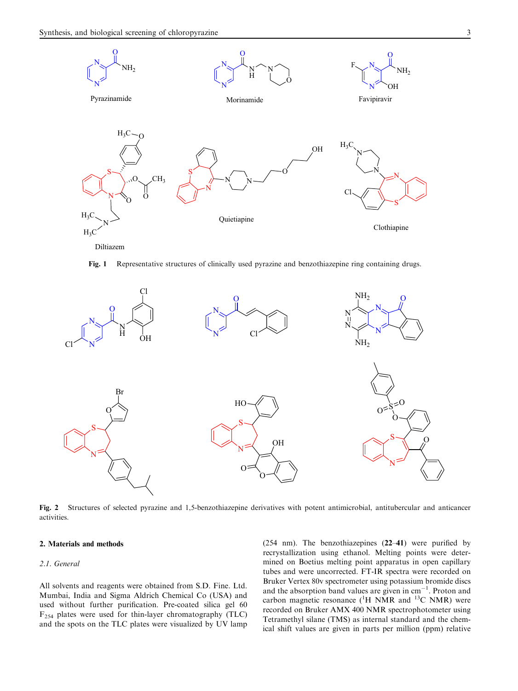

Fig. 1 Representative structures of clinically used pyrazine and benzothiazepine ring containing drugs.



Fig. 2 Structures of selected pyrazine and 1,5-benzothiazepine derivatives with potent antimicrobial, antitubercular and anticancer activities.

### 2. Materials and methods

#### 2.1. General

All solvents and reagents were obtained from S.D. Fine. Ltd. Mumbai, India and Sigma Aldrich Chemical Co (USA) and used without further purification. Pre-coated silica gel 60  $F_{254}$  plates were used for thin-layer chromatography (TLC) and the spots on the TLC plates were visualized by UV lamp (254 nm). The benzothiazepines (22–41) were purified by recrystallization using ethanol. Melting points were determined on Boetius melting point apparatus in open capillary tubes and were uncorrected. FT-IR spectra were recorded on Bruker Vertex 80v spectrometer using potassium bromide discs and the absorption band values are given in  $cm^{-1}$ . Proton and carbon magnetic resonance  $(^1H$  NMR and  $^{13}C$  NMR) were recorded on Bruker AMX 400 NMR spectrophotometer using Tetramethyl silane (TMS) as internal standard and the chemical shift values are given in parts per million (ppm) relative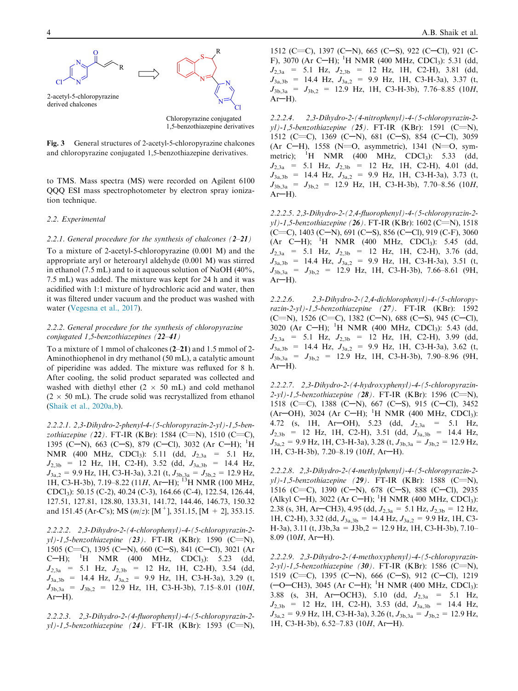

Fig. 3 General structures of 2-acetyl-5-chloropyrazine chalcones and chloropyrazine conjugated 1,5-benzothiazepine derivatives.

to TMS. Mass spectra (MS) were recorded on Agilent 6100 QQQ ESI mass spectrophotometer by electron spray ionization technique.

#### 2.2. Experimental

#### 2.2.1. General procedure for the synthesis of chalcones (2-21)

To a mixture of 2-acetyl-5-chloropyrazine (0.001 M) and the appropriate aryl or heteroaryl aldehyde (0.001 M) was stirred in ethanol (7.5 mL) and to it aqueous solution of NaOH (40%, 7.5 mL) was added. The mixture was kept for 24 h and it was acidified with 1:1 mixture of hydrochloric acid and water, then it was filtered under vacuum and the product was washed with water (Vegesna et al., 2017).

#### 2.2.2. General procedure for the synthesis of chloropyrazine conjugated 1,5-benzothiazepines (22–41)

To a mixture of 1 mmol of chalcones (2–21) and 1.5 mmol of 2- Aminothiophenol in dry methanol (50 mL), a catalytic amount of piperidine was added. The mixture was refluxed for 8 h. After cooling, the solid product separated was collected and washed with diethyl ether  $(2 \times 50 \text{ mL})$  and cold methanol  $(2 \times 50 \text{ mL})$ . The crude solid was recrystallized from ethanol (Shaik et al., 2020a,b).

2.2.2.1. 2,3-Dihydro-2-phenyl-4-(5-chloropyrazin-2-yl)-1,5-benzothiazepine (22). FT-IR (KBr): 1584 (C=N), 1510 (C=C), 1395 (C-N), 663 (C-S), 879 (C-Cl), 3032 (Ar C-H); <sup>1</sup>H NMR (400 MHz, CDCl<sub>3</sub>): 5.11 (dd,  $J_{2,3a}$  = 5.1 Hz,  $J_{2,3b}$  = 12 Hz, 1H, C2-H), 3.52 (dd,  $J_{3a,3b}$  = 14.4 Hz,  $J_{3a,2} = 9.9$  Hz, 1H, C3-H-3a), 3.21 (t,  $J_{3b,3a} = J_{3b,2} = 12.9$  Hz, 1H, C3-H-3b), 7.19–8.22 (11H, Ar-H); <sup>13</sup>H NMR (100 MHz, CDCl3): 50.15 (C-2), 40.24 (C-3), 164.66 (C-4), 122.54, 126.44, 127.51, 127.81, 128.80, 133.31, 141.72, 144.46, 146.73, 150.32 and 151.45 (Ar-C's); MS ( $m/z$ ): [M<sup>+</sup>], 351.15, [M + 2], 353.15.

2.2.2.2. 2,3-Dihydro-2-(4-chlorophenyl)-4-(5-chloropyrazin-2  $y$ l)-1,5-benzothiazepine (23). FT-IR (KBr): 1590 (C=N), 1505 (C=C), 1395 (C-N), 660 (C-S), 841 (C-Cl), 3021 (Ar C-H); <sup>1</sup>H NMR (400 MHz, CDCl<sub>3</sub>): 5.23 (dd,  $J_{2,3a}$  = 5.1 Hz,  $J_{2,3b}$  = 12 Hz, 1H, C2-H), 3.54 (dd,  $J_{3a,3b}$  = 14.4 Hz,  $J_{3a,2}$  = 9.9 Hz, 1H, C3-H-3a), 3.29 (t,  $J_{3b,3a} = J_{3b,2} = 12.9$  Hz, 1H, C3-H-3b), 7.15–8.01 (10H,  $Ar-H$ ).

2.2.2.3. 2,3-Dihydro-2-(4-fluorophenyl)-4-(5-chloropyrazin-2 yl)-1,5-benzothiazepine (24). FT-IR (KBr): 1593 (C=N),

1512 (C=C), 1397 (C-N), 665 (C-S), 922 (C-Cl), 921 (C-F), 3070 (Ar C-H); <sup>1</sup>H NMR (400 MHz, CDCl<sub>3</sub>): 5.31 (dd,  $J_{2,3a}$  = 5.1 Hz,  $J_{2,3b}$  = 12 Hz, 1H, C2-H), 3.81 (dd,  $J_{3a,3b}$  = 14.4 Hz,  $J_{3a,2}$  = 9.9 Hz, 1H, C3-H-3a), 3.37 (t,  $J_{3b,3a} = J_{3b,2} = 12.9$  Hz, 1H, C3-H-3b), 7.76-8.85 (10H,  $Ar-H$ ).

2.2.2.4. 2,3-Dihydro-2-(4-nitrophenyl)-4-(5-chloropyrazin-2 yl)-1,5-benzothiazepine  $(25)$ . FT-IR (KBr): 1591 (C=N), 1512 (C=C), 1369 (C-N), 681 (C-S), 854 (C-Cl), 3059 (Ar C-H), 1558 (N=O, asymmetric), 1341 (N=O, symmetric); <sup>1</sup>H NMR (400 MHz, CDCl<sub>3</sub>): 5.33 (dd,  $J_{2,3a}$  = 5.1 Hz,  $J_{2,3b}$  = 12 Hz, 1H, C2-H), 4.01 (dd,  $J_{3a,3b}$  = 14.4 Hz,  $J_{3a,2}$  = 9.9 Hz, 1H, C3-H-3a), 3.73 (t,  $J_{3b,3a} = J_{3b,2} = 12.9$  Hz, 1H, C3-H-3b), 7.70–8.56 (10H,  $Ar-H$ ).

2.2.2.5. 2,3-Dihydro-2-(2,4-fluorophenyl)-4-(5-chloropyrazin-2  $y$ l)-1,5-benzothiazepine (26). FT-IR (KBr): 1602 (C=N), 1518 (C=C), 1403 (C-N), 691 (C-S), 856 (C-Cl), 919 (C-F), 3060  $(Ar C-H);$  <sup>1</sup>H NMR (400 MHz, CDCl<sub>3</sub>): 5.45 (dd,  $J_{2,3a}$  = 5.1 Hz,  $J_{2,3b}$  = 12 Hz, 1H, C2-H), 3.76 (dd,  $J_{3a,3b}$  = 14.4 Hz,  $J_{3a,2}$  = 9.9 Hz, 1H, C3-H-3a), 3.51 (t,  $J_{3b,3a}$  =  $J_{3b,2}$  = 12.9 Hz, 1H, C3-H-3b), 7.66–8.61 (9H,  $Ar-H$ ).

2.2.2.6. 2,3-Dihydro-2-(2,4-dichlorophenyl)-4-(5-chloropyrazin-2-yl)-1,5-benzothiazepine (27). FT-IR (KBr): 1592  $(C=N)$ , 1526  $(C=C)$ , 1382  $(C-N)$ , 688  $(C-S)$ , 945  $(C-C)$ , 3020 (Ar C-H); <sup>1</sup>H NMR (400 MHz, CDCl<sub>3</sub>): 5.43 (dd,  $J_{2,3a}$  = 5.1 Hz,  $J_{2,3b}$  = 12 Hz, 1H, C2-H), 3.99 (dd,  $J_{3a,3b}$  = 14.4 Hz,  $J_{3a,2}$  = 9.9 Hz, 1H, C3-H-3a), 3.62 (t,  $J_{3b,3a}$  =  $J_{3b,2}$  = 12.9 Hz, 1H, C3-H-3b), 7.90–8.96 (9H,  $Ar-H$ ).

2.2.2.7. 2,3-Dihydro-2-(4-hydroxyphenyl)-4-(5-chloropyrazin- $2-yl$ )-1,5-benzothiazepine (28). FT-IR (KBr): 1596 (C=N), 1518 (C=C), 1388 (C-N), 667 (C-S), 915 (C-Cl), 3452  $(Ar$ <sup>-</sup>OH), 3024  $(Ar$  C<sup>-</sup>H); <sup>1</sup>H NMR (400 MHz, CDCl<sub>3</sub>): 4.72 (s, 1H, Ar-OH), 5.23 (dd,  $J_{2,3a}$  = 5.1 Hz,  $J_{2,3b}$  = 12 Hz, 1H, C2-H), 3.51 (dd,  $J_{3a,3b}$  = 14.4 Hz,  $J_{3a,2} = 9.9$  Hz, 1H, C3-H-3a), 3.28 (t,  $J_{3b,3a} = J_{3b,2} = 12.9$  Hz, 1H, C3-H-3b), 7.20-8.19 (10H, Ar-H).

2.2.2.8. 2,3-Dihydro-2-(4-methylphenyl)-4-(5-chloropyrazin-2 yl)-1,5-benzothiazepine (29). FT-IR (KBr): 1588 (C=N), 1516 (C=C), 1390 (C-N), 678 (C-S), 888 (C-Cl), 2935 (Alkyl C-H), 3022 (Ar C-H); <sup>1</sup>H NMR (400 MHz, CDCl<sub>3</sub>): 2.38 (s, 3H, Ar–CH3), 4.95 (dd,  $J_{2,3a} = 5.1$  Hz,  $J_{2,3b} = 12$  Hz, 1H, C2-H), 3.32 (dd,  $J_{3a,3b} = 14.4$  Hz,  $J_{3a,2} = 9.9$  Hz, 1H, C3-H-3a), 3.11 (t, J3b,3a = J3b,2 = 12.9 Hz, 1H, C3-H-3b), 7.10– 8.09 (10H, Ar-H).

2.2.2.9. 2,3-Dihydro-2-(4-methoxyphenyl)-4-(5-chloropyrazin- $2-yl$ -l,5-benzothiazepine (30). FT-IR (KBr): 1586 (C=N), 1519 (C=C), 1395 (C-N), 666 (C-S), 912 (C-Cl), 1219  $(-O - CH3)$ , 3045 (Ar C-H); <sup>1</sup>H NMR (400 MHz, CDCl<sub>3</sub>): 3.88 (s, 3H, Ar-OCH3), 5.10 (dd,  $J_{2,3a}$  = 5.1 Hz,  $J_{2,3b}$  = 12 Hz, 1H, C2-H), 3.53 (dd,  $J_{3a,3b}$  = 14.4 Hz,  $J_{3a,2} = 9.9$  Hz, 1H, C3-H-3a), 3.26 (t,  $J_{3b,3a} = J_{3b,2} = 12.9$  Hz, 1H, C3-H-3b),  $6.52-7.83$  (10H, Ar-H).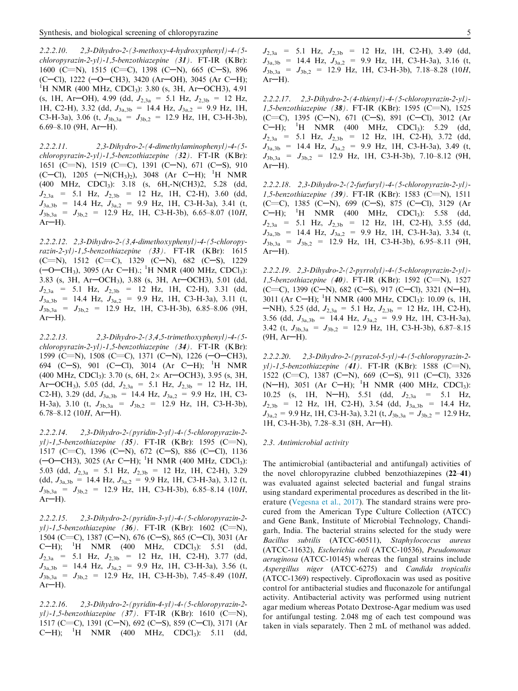2.2.2.10. 2,3-Dihydro-2-(3-methoxy-4-hydroxyphenyl)-4-(5 chloropyrazin-2-yl)-1,5-benzothiazepine (31). FT-IR (KBr): 1600 (C=N), 1515 (C=C), 1398 (C-N), 665 (C-S), 896  $(C–Cl)$ , 1222  $(-O–CH3)$ , 3420  $(Ar–OH)$ , 3045  $(Ar C–H)$ ; <sup>1</sup>H NMR (400 MHz, CDCl<sub>3</sub>): 3.80 (s, 3H, Ar-OCH3), 4.91 (s, 1H, Ar-OH), 4.99 (dd,  $J_{2,3a} = 5.1$  Hz,  $J_{2,3b} = 12$  Hz, 1H, C2-H), 3.32 (dd,  $J_{3a,3b} = 14.4$  Hz,  $J_{3a,2} = 9.9$  Hz, 1H, C3-H-3a), 3.06 (t,  $J_{3b,3a} = J_{3b,2} = 12.9$  Hz, 1H, C3-H-3b),  $6.69 - 8.10$  (9H, Ar-H).

2.2.2.11. 2,3-Dihydro-2-(4-dimethylaminophenyl)-4-(5 chloropyrazin-2-yl)-1,5-benzothiazepine (32). FT-IR (KBr): 1651 (C=N), 1519 (C=C), 1391 (C-N), 671 (C-S), 910 (C-Cl), 1205 ( $-N(CH_3)_2$ ), 3048 (Ar C-H); <sup>1</sup>H NMR (400 MHz, CDCl3): 3.18 (s, 6H,-N(CH3)2, 5.28 (dd,  $J_{2,3a}$  = 5.1 Hz,  $J_{2,3b}$  = 12 Hz, 1H, C2-H), 3.60 (dd,  $J_{3a,3b}$  = 14.4 Hz,  $J_{3a,2}$  = 9.9 Hz, 1H, C3-H-3a), 3.41 (t,  $J_{3b,3a} = J_{3b,2} = 12.9$  Hz, 1H, C3-H-3b), 6.65–8.07 (10H,  $Ar-H$ ).

2.2.2.12. 2,3-Dihydro-2-(3,4-dimethoxyphenyl)-4-(5-chloropyrazin-2-yl)-1,5-benzothiazepine (33). FT-IR (KBr): 1615  $(C=N)$ , 1512  $(C=C)$ , 1329  $(C-N)$ , 682  $(C-S)$ , 1229 (-O-CH<sub>3</sub>), 3095 (Ar C-H).; <sup>1</sup>H NMR (400 MHz, CDCl<sub>3</sub>): 3.83 (s, 3H, Ar $-OCH_3$ ), 3.88 (s, 3H, Ar $-OCH_3$ ), 5.01 (dd,  $J_{2,3a}$  = 5.1 Hz,  $J_{2,3b}$  = 12 Hz, 1H, C2-H), 3.31 (dd,  $J_{3a,3b}$  = 14.4 Hz,  $J_{3a,2}$  = 9.9 Hz, 1H, C3-H-3a), 3.11 (t,  $J_{3b,3a}$  =  $J_{3b,2}$  = 12.9 Hz, 1H, C3-H-3b), 6.85-8.06 (9H,  $Ar-H$ ).

2.2.2.13. 2,3-Dihydro-2-(3,4,5-trimethoxyphenyl)-4-(5 chloropyrazin-2-yl)-1,5-benzothiazepine (34). FT-IR (KBr): 1599 (C=N), 1508 (C=C), 1371 (C-N), 1226 (-O-CH3), 694 (C-S), 901 (C-Cl), 3014 (Ar C-H); <sup>1</sup>H NMR  $(400 \text{ MHz}, \text{CDCl}_3)$ : 3.70 (s, 6H, 2× Ar–OCH3), 3.95 (s, 3H, Ar-OCH<sub>3</sub>), 5.05 (dd,  $J_{2,3a} = 5.1$  Hz,  $J_{2,3b} = 12$  Hz, 1H, C2-H), 3.29 (dd,  $J_{3a,3b} = 14.4$  Hz,  $J_{3a,2} = 9.9$  Hz, 1H, C3-H-3a), 3.10 (t,  $J_{3b,3a} = J_{3b,2} = 12.9$  Hz, 1H, C3-H-3b), 6.78–8.12 (10*H*, Ar–H).

2.2.2.14. 2,3-Dihydro-2-(pyridin-2-yl)-4-(5-chloropyrazin-2  $y$ l)-1,5-benzothiazepine (35). FT-IR (KBr): 1595 (C=N), 1517 (C=C), 1396 (C-N), 672 (C-S), 886 (C-Cl), 1136 (-O-CH3), 3025 (Ar C-H); <sup>1</sup>H NMR (400 MHz, CDCl<sub>3</sub>): 5.03 (dd,  $J_{2,3a}$  = 5.1 Hz,  $J_{2,3b}$  = 12 Hz, 1H, C2-H), 3.29 (dd,  $J_{3a,3b} = 14.4$  Hz,  $J_{3a,2} = 9.9$  Hz, 1H, C3-H-3a), 3.12 (t,  $J_{3b,3a} = J_{3b,2} = 12.9$  Hz, 1H, C3-H-3b), 6.85-8.14 (10H,  $Ar-H$ ).

2.2.2.15. 2,3-Dihydro-2-(pyridin-3-yl)-4-(5-chloropyrazin-2  $y$ l)-1,5-benzothiazepine (36). FT-IR (KBr): 1602 (C=N), 1504 (C=C), 1387 (C-N), 676 (C-S), 865 (C-Cl), 3031 (Ar C-H); <sup>1</sup>H NMR (400 MHz, CDCl<sub>3</sub>): 5.51 (dd,  $J_{2,3a}$  = 5.1 Hz,  $J_{2,3b}$  = 12 Hz, 1H, C2-H), 3.77 (dd,  $J_{3a,3b}$  = 14.4 Hz,  $J_{3a,2}$  = 9.9 Hz, 1H, C3-H-3a), 3.56 (t,  $J_{3b,3a}$  =  $J_{3b,2}$  = 12.9 Hz, 1H, C3-H-3b), 7.45–8.49 (10H,  $Ar-H$ ).

2.2.2.16. 2,3-Dihydro-2-(pyridin-4-yl)-4-(5-chloropyrazin-2 yl)-1,5-benzothiazepine (37). FT-IR (KBr): 1610 (C=N), 1517 (C=C), 1391 (C-N), 692 (C-S), 859 (C-Cl), 3171 (Ar C-H); <sup>1</sup>H NMR (400 MHz, CDCl<sub>3</sub>): 5.11 (dd,  $J_{2,3a}$  = 5.1 Hz,  $J_{2,3b}$  = 12 Hz, 1H, C2-H), 3.49 (dd,  $J_{3a,3b}$  = 14.4 Hz,  $J_{3a,2}$  = 9.9 Hz, 1H, C3-H-3a), 3.16 (t,  $J_{3b,3a} = J_{3b,2} = 12.9$  Hz, 1H, C3-H-3b), 7.18–8.28 (10H,  $Ar-H$ ).

2.2.2.17. 2,3-Dihydro-2-(4-thienyl)-4-(5-chloropyrazin-2-yl)- 1,5-benzothiazepine (38). FT-IR (KBr): 1595 (C=N), 1525  $(C=C)$ , 1395  $(C-N)$ , 671  $(C-S)$ , 891  $(C-CI)$ , 3012  $(Ar)$ C-H); <sup>1</sup>H NMR (400 MHz, CDCl<sub>3</sub>): 5.29 (dd,  $J_{2,3a}$  = 5.1 Hz,  $J_{2,3b}$  = 12 Hz, 1H, C2-H), 3.72 (dd,  $J_{3a,3b}$  = 14.4 Hz,  $J_{3a,2}$  = 9.9 Hz, 1H, C3-H-3a), 3.49 (t,  $J_{3b,3a}$  =  $J_{3b,2}$  = 12.9 Hz, 1H, C3-H-3b), 7.10-8.12 (9H,  $Ar-H$ ).

2.2.2.18. 2,3-Dihydro-2-(2-furfuryl)-4-(5-chloropyrazin-2-yl)- 1,5-benzothiazepine (39). FT-IR (KBr): 1583 (C=N), 1511  $(C=C)$ , 1385  $(C-N)$ , 699  $(C-S)$ , 875  $(C-CI)$ , 3129  $(Ar)$ C-H); <sup>1</sup>H NMR (400 MHz, CDCl<sub>3</sub>): 5.58 (dd,  $J_{2,3a}$  = 5.1 Hz,  $J_{2,3b}$  = 12 Hz, 1H, C2-H), 3.55 (dd,  $J_{3a,3b}$  = 14.4 Hz,  $J_{3a,2}$  = 9.9 Hz, 1H, C3-H-3a), 3.34 (t,  $J_{3b,3a}$  =  $J_{3b,2}$  = 12.9 Hz, 1H, C3-H-3b), 6.95–8.11 (9H,  $Ar-H$ ).

2.2.2.19. 2,3-Dihydro-2-(2-pyrrolyl)-4-(5-chloropyrazin-2-yl)- 1,5-benzothiazepine (40). FT-IR (KBr): 1592 (C=N), 1527  $(C=C)$ , 1399  $(C-N)$ , 682  $(C-S)$ , 917  $(C-CI)$ , 3321  $(N-H)$ , 3011 (Ar C-H); <sup>1</sup>H NMR (400 MHz, CDCl<sub>3</sub>): 10.09 (s, 1H, -NH), 5.25 (dd,  $J_{2,3a} = 5.1$  Hz,  $J_{2,3b} = 12$  Hz, 1H, C2-H), 3.56 (dd,  $J_{3a,3b} = 14.4$  Hz,  $J_{3a,2} = 9.9$  Hz, 1H, C3-H-3a), 3.42 (t,  $J_{3b,3a} = J_{3b,2} = 12.9$  Hz, 1H, C3-H-3b), 6.87–8.15  $(9H, Ar-H)$ .

2.2.2.20. 2,3-Dihydro-2-(pyrazol-5-yl)-4-(5-chloropyrazin-2  $y$ l)-1,5-benzothiazepine (41). FT-IR (KBr): 1588 (C=N), 1522 (C=C), 1387 (C-N), 669 (C-S), 911 (C-Cl), 3326  $(N-H)$ , 3051 (Ar C-H); <sup>1</sup>H NMR (400 MHz, CDCl<sub>3</sub>): 10.25 (s, 1H, N-H), 5.51 (dd,  $J_{2,3a}$  = 5.1 Hz,  $J_{2,3b}$  = 12 Hz, 1H, C2-H), 3.54 (dd,  $J_{3a,3b}$  = 14.4 Hz,  $J_{3a,2} = 9.9$  Hz, 1H, C3-H-3a), 3.21 (t,  $J_{3b,3a} = J_{3b,2} = 12.9$  Hz,  $1H, C3-H-3b, 7.28-8.31$  (8H, Ar-H).

#### 2.3. Antimicrobial activity

The antimicrobial (antibacterial and antifungal) activities of the novel chloropyrazine clubbed benzothiazepines (22–41) was evaluated against selected bacterial and fungal strains using standard experimental procedures as described in the literature (Vegesna et al., 2017). The standard strains were procured from the American Type Culture Collection (ATCC) and Gene Bank, Institute of Microbial Technology, Chandigarh, India. The bacterial strains selected for the study were Bacillus subtilis (ATCC-60511), Staphylococcus aureus (ATCC-11632), Escherichia coli (ATCC-10536), Pseudomonas aeruginosa (ATCC-10145) whereas the fungal strains include Aspergillus niger (ATCC-6275) and Candida tropicalis (ATCC-1369) respectively. Ciprofloxacin was used as positive control for antibacterial studies and fluconazole for antifungal activity. Antibacterial activity was performed using nutrient agar medium whereas Potato Dextrose-Agar medium was used for antifungal testing. 2.048 mg of each test compound was taken in vials separately. Then 2 mL of methanol was added.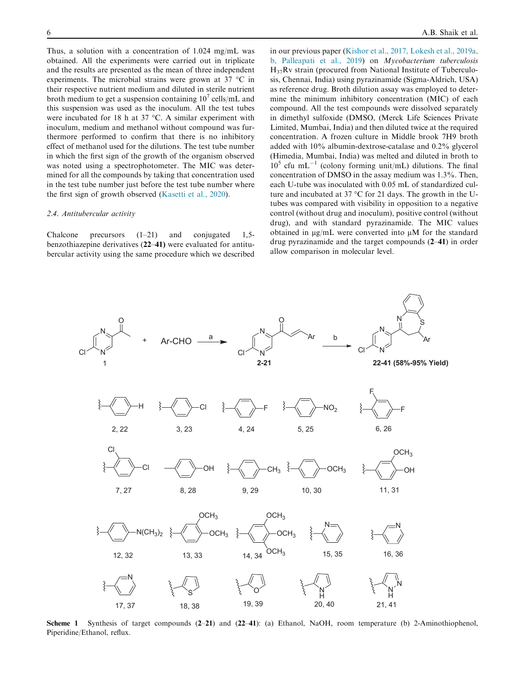Thus, a solution with a concentration of 1.024 mg/mL was obtained. All the experiments were carried out in triplicate and the results are presented as the mean of three independent experiments. The microbial strains were grown at  $37 \text{ °C}$  in their respective nutrient medium and diluted in sterile nutrient broth medium to get a suspension containing  $10^7$  cells/mL and this suspension was used as the inoculum. All the test tubes were incubated for 18 h at 37  $\degree$ C. A similar experiment with inoculum, medium and methanol without compound was furthermore performed to confirm that there is no inhibitory effect of methanol used for the dilutions. The test tube number in which the first sign of the growth of the organism observed was noted using a spectrophotometer. The MIC was determined for all the compounds by taking that concentration used in the test tube number just before the test tube number where the first sign of growth observed (Kasetti et al., 2020).

#### 2.4. Antitubercular activity

Chalcone precursors (1–21) and conjugated 1,5 benzothiazepine derivatives (22–41) were evaluated for antitubercular activity using the same procedure which we described in our previous paper (Kishor et al., 2017, Lokesh et al., 2019a, b, Palleapati et al., 2019) on Mycobacterium tuberculosis  $H_{37}Rv$  strain (procured from National Institute of Tuberculosis, Chennai, India) using pyrazinamide (Sigma-Aldrich, USA) as reference drug. Broth dilution assay was employed to determine the minimum inhibitory concentration (MIC) of each compound. All the test compounds were dissolved separately in dimethyl sulfoxide (DMSO, (Merck Life Sciences Private Limited, Mumbai, India) and then diluted twice at the required concentration. A frozen culture in Middle brook 7H9 broth added with 10% albumin-dextrose-catalase and 0.2% glycerol (Himedia, Mumbai, India) was melted and diluted in broth to  $10<sup>5</sup>$  cfu mL<sup>-1</sup> (colony forming unit/mL) dilutions. The final concentration of DMSO in the assay medium was 1.3%. Then, each U-tube was inoculated with 0.05 mL of standardized culture and incubated at  $37^{\circ}$ C for 21 days. The growth in the Utubes was compared with visibility in opposition to a negative control (without drug and inoculum), positive control (without drug), and with standard pyrazinamide. The MIC values obtained in  $\mu$ g/mL were converted into  $\mu$ M for the standard drug pyrazinamide and the target compounds (2–41) in order allow comparison in molecular level.



Scheme 1 Synthesis of target compounds (2–21) and (22–41): (a) Ethanol, NaOH, room temperature (b) 2-Aminothiophenol, Piperidine/Ethanol, reflux.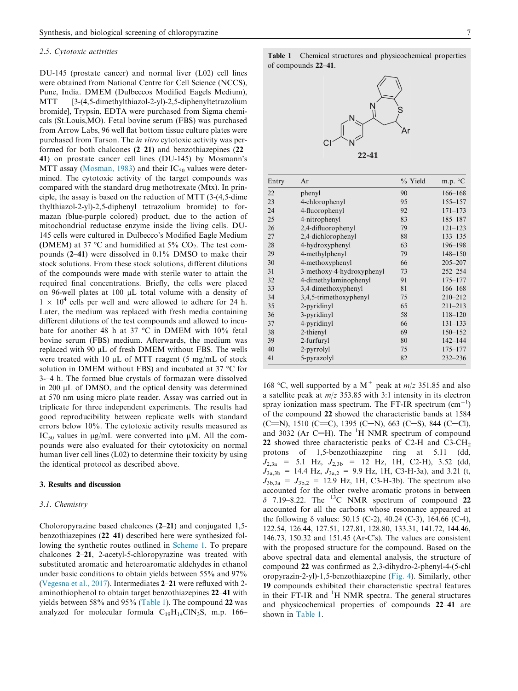#### 2.5. Cytotoxic activities

DU-145 (prostate cancer) and normal liver (L02) cell lines were obtained from National Centre for Cell Science (NCCS), Pune, India. DMEM (Dulbeccos Modified Eagels Medium), MTT [3-(4,5-dimethylthiazol-2-yl)-2,5-diphenyltetrazolium bromide], Trypsin, EDTA were purchased from Sigma chemicals (St.Louis,MO). Fetal bovine serum (FBS) was purchased from Arrow Labs, 96 well flat bottom tissue culture plates were purchased from Tarson. The in vitro cytotoxic activity was performed for both chalcones (2–21) and benzothiazepines (22– 41) on prostate cancer cell lines (DU-145) by Mosmann's MTT assay (Mosman, 1983) and their  $IC_{50}$  values were determined. The cytotoxic activity of the target compounds was compared with the standard drug methotrexate (Mtx). In principle, the assay is based on the reduction of MTT (3-(4,5-dime thylthiazol-2-yl)-2,5-diphenyl tetrazolium bromide) to formazan (blue-purple colored) product, due to the action of mitochondrial reductase enzyme inside the living cells. DU-145 cells were cultured in Dulbecco's Modified Eagle Medium (DMEM) at 37 °C and humidified at 5%  $CO<sub>2</sub>$ . The test compounds (2–41) were dissolved in 0.1% DMSO to make their stock solutions. From these stock solutions, different dilutions of the compounds were made with sterile water to attain the required final concentrations. Briefly, the cells were placed on 96-well plates at 100  $\mu$ L total volume with a density of  $1 \times 10^4$  cells per well and were allowed to adhere for 24 h. Later, the medium was replaced with fresh media containing different dilutions of the test compounds and allowed to incubate for another 48 h at 37  $\degree$ C in DMEM with 10% fetal bovine serum (FBS) medium. Afterwards, the medium was replaced with  $90 \mu L$  of fresh DMEM without FBS. The wells were treated with 10  $\mu$ L of MTT reagent (5 mg/mL of stock solution in DMEM without FBS) and incubated at 37  $\degree$ C for 3-–4 h. The formed blue crystals of formazan were dissolved in 200 µL of DMSO, and the optical density was determined at 570 nm using micro plate reader. Assay was carried out in triplicate for three independent experiments. The results had good reproducibility between replicate wells with standard errors below 10%. The cytotoxic activity results measured as  $IC_{50}$  values in  $\mu$ g/mL were converted into  $\mu$ M. All the compounds were also evaluated for their cytotoxicity on normal human liver cell lines (L02) to determine their toxicity by using the identical protocol as described above.

#### 3. Results and discussion

#### 3.1. Chemistry

Choloropyrazine based chalcones (2–21) and conjugated 1,5 benzothiazepines (22–41) described here were synthesized following the synthetic routes outlined in Scheme 1. To prepare chalcones 2–21, 2-acetyl-5-chloropyrazine was treated with substituted aromatic and heteroaromatic aldehydes in ethanol under basic conditions to obtain yields between 55% and 97% (Vegesna et al., 2017). Intermediates 2–21 were refluxed with 2 aminothiophenol to obtain target benzothiazepines 22–41 with yields between 58% and 95% (Table 1). The compound 22 was analyzed for molecular formula  $C_{19}H_{14}CIN_3S$ , m.p. 166–

| Entry | Ar                        | % Yield | m.p. $^{\circ}C$ |
|-------|---------------------------|---------|------------------|
| 22    | phenyl                    | 90      | $166 - 168$      |
| 23    | 4-chlorophenyl            | 95      | $155 - 157$      |
| 24    | 4-fluorophenyl            | 92      | $171 - 173$      |
| 25    | 4-nitrophenyl             | 83      | 185-187          |
| 26    | 2,4-difluorophenyl        | 79      | $121 - 123$      |
| 27    | 2,4-dichlorophenyl        | 88      | $133 - 135$      |
| 28    | 4-hydroxyphenyl           | 63      | 196-198          |
| 29    | 4-methylphenyl            | 79      | $148 - 150$      |
| 30    | 4-methoxyphenyl           | 66      | $205 - 207$      |
| 31    | 3-methoxy-4-hydroxyphenyl | 73      | $252 - 254$      |
| 32    | 4-dimethylaminophenyl     | 91      | $175 - 177$      |
| 33    | 3,4-dimethoxyphenyl       | 81      | $166 - 168$      |
| 34    | 3,4,5-trimethoxyphenyl    | 75      | $210 - 212$      |
| 35    | 2-pyridinyl               | 65      | $211 - 213$      |
| 36    | 3-pyridinyl               | 58      | $118 - 120$      |
| 37    | 4-pyridinyl               | 66      | $131 - 133$      |
| 38    | 2-thienyl                 | 69      | $150 - 152$      |
| 39    | 2-furfuryl                | 80      | $142 - 144$      |
| 40    | 2-pyrrolyl                | 75      | $175 - 177$      |
| 41    | 5-pyrazolyl               | 82      | $232 - 236$      |

168 °C, well supported by a M<sup>+</sup> peak at  $m/z$  351.85 and also a satellite peak at  $m/z$  353.85 with 3:1 intensity in its electron spray ionization mass spectrum. The FT-IR spectrum  $(cm<sup>-1</sup>)$ of the compound 22 showed the characteristic bands at 1584  $(C=N)$ , 1510  $(C=C)$ , 1395  $(C-N)$ , 663  $(C-S)$ , 844  $(C-C)$ , and 3032 (Ar C-H). The  ${}^{1}$ H NMR spectrum of compound 22 showed three characteristic peaks of C2-H and C3-CH<sub>2</sub> protons of 1,5-benzothiazepine ring at 5.11 (dd,  $J_{2,3a}$  = 5.1 Hz,  $J_{2,3b}$  = 12 Hz, 1H, C2-H), 3.52 (dd,  $J_{3a,3b} = 14.4 \text{ Hz}, J_{3a,2} = 9.9 \text{ Hz}, 1H, C3-H-3a$ , and 3.21 (t,  $J_{3b,3a} = J_{3b,2} = 12.9$  Hz, 1H, C3-H-3b). The spectrum also accounted for the other twelve aromatic protons in between  $\delta$  7.19–8.22. The <sup>13</sup>C NMR spectrum of compound 22 accounted for all the carbons whose resonance appeared at the following  $\delta$  values: 50.15 (C-2), 40.24 (C-3), 164.66 (C-4), 122.54, 126.44, 127.51, 127.81, 128.80, 133.31, 141.72, 144.46, 146.73, 150.32 and 151.45 (Ar-C's). The values are consistent with the proposed structure for the compound. Based on the above spectral data and elemental analysis, the structure of compound 22 was confirmed as 2,3-dihydro-2-phenyl-4-(5-chl oropyrazin-2-yl)-1,5-benzothiazepine (Fig. 4). Similarly, other 19 compounds exhibited their characteristic spectral features in their FT-IR and  ${}^{1}H$  NMR spectra. The general structures and physicochemical properties of compounds 22–41 are shown in Table 1.

Table 1 Chemical structures and physicochemical properties of compounds 22–41.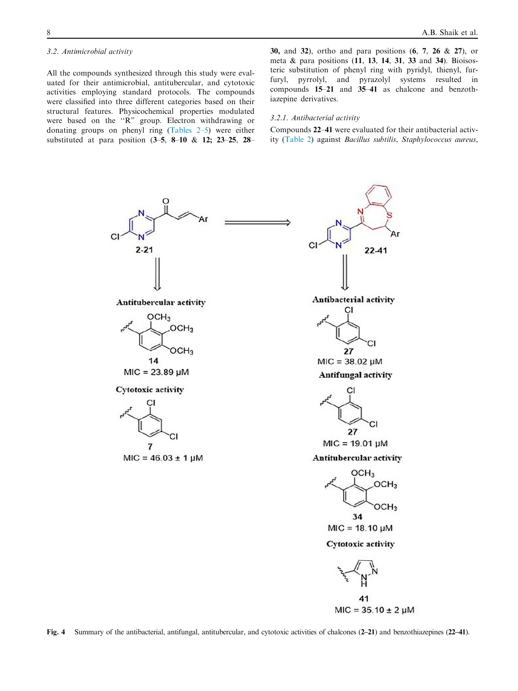#### 3.2. Antimicrobial activity

All the compounds synthesized through this study were evaluated for their antimicrobial, antitubercular, and cytotoxic activities employing standard protocols. The compounds were classified into three different categories based on their structural features. Physicochemical properties modulated were based on the ''R" group. Electron withdrawing or donating groups on phenyl ring (Tables 2–5) were either substituted at para position (3–5, 8–10 & 12; 23–25, 28– 30, and 32), ortho and para positions (6, 7, 26 & 27), or meta & para positions (11, 13, 14, 31, 33 and 34). Bioisosteric substitution of phenyl ring with pyridyl, thienyl, furfuryl, pyrrolyl, and pyrazolyl systems resulted in compounds 15–21 and 35–41 as chalcone and benzothiazepine derivatives.

#### 3.2.1. Antibacterial activity

Compounds 22–41 were evaluated for their antibacterial activity (Table 2) against Bacillus subtilis, Staphylococcus aureus,

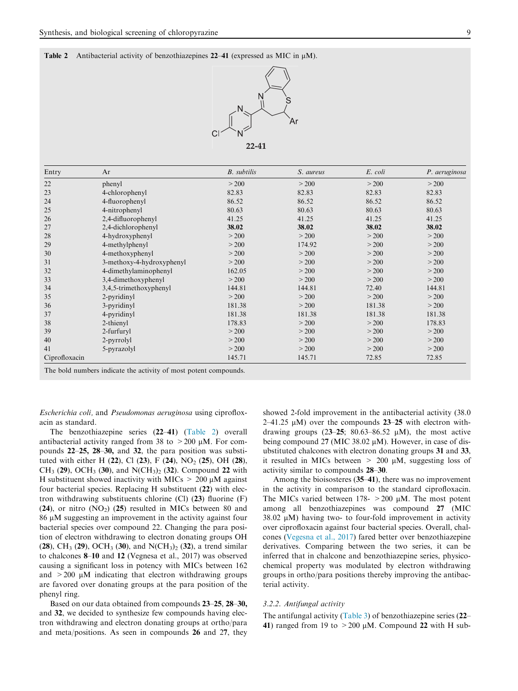Table 2 Antibacterial activity of benzothiazepines 22–41 (expressed as MIC in  $\mu$ M).



| Entry         | Ar                        | <b>B.</b> subtilis | S. aureus | E. coli | P. aeruginosa |
|---------------|---------------------------|--------------------|-----------|---------|---------------|
| 22            | phenyl                    | > 200              | > 200     | > 200   | > 200         |
| 23            | 4-chlorophenyl            | 82.83              | 82.83     | 82.83   | 82.83         |
| 24            | 4-fluorophenyl            | 86.52              | 86.52     | 86.52   | 86.52         |
| 25            | 4-nitrophenyl             | 80.63              | 80.63     | 80.63   | 80.63         |
| 26            | 2,4-difluorophenyl        | 41.25              | 41.25     | 41.25   | 41.25         |
| 27            | 2,4-dichlorophenyl        | 38.02              | 38.02     | 38.02   | 38.02         |
| 28            | 4-hydroxyphenyl           | > 200              | > 200     | > 200   | > 200         |
| 29            | 4-methylphenyl            | > 200              | 174.92    | > 200   | > 200         |
| 30            | 4-methoxyphenyl           | > 200              | > 200     | > 200   | > 200         |
| 31            | 3-methoxy-4-hydroxyphenyl | > 200              | > 200     | > 200   | > 200         |
| 32            | 4-dimethylaminophenyl     | 162.05             | > 200     | > 200   | > 200         |
| 33            | 3,4-dimethoxyphenyl       | > 200              | > 200     | > 200   | > 200         |
| 34            | 3,4,5-trimethoxyphenyl    | 144.81             | 144.81    | 72.40   | 144.81        |
| 35            | 2-pyridinyl               | > 200              | > 200     | > 200   | > 200         |
| 36            | 3-pyridinyl               | 181.38             | > 200     | 181.38  | > 200         |
| 37            | 4-pyridinyl               | 181.38             | 181.38    | 181.38  | 181.38        |
| 38            | 2-thienyl                 | 178.83             | > 200     | > 200   | 178.83        |
| 39            | 2-furfuryl                | > 200              | > 200     | > 200   | > 200         |
| 40            | 2-pyrrolyl                | > 200              | > 200     | > 200   | > 200         |
| 41            | 5-pyrazolyl               | > 200              | > 200     | > 200   | > 200         |
| Ciprofloxacin |                           | 145.71             | 145.71    | 72.85   | 72.85         |

The bold numbers indicate the activity of most potent compounds.

Escherichia coli, and Pseudomonas aeruginosa using ciprofloxacin as standard.

The benzothiazepine series (22–41) (Table 2) overall antibacterial activity ranged from 38 to  $>200$  µM. For compounds 22–25, 28–30, and 32, the para position was substituted with either H (22), Cl (23), F (24), NO<sub>2</sub> (25), OH (28), CH<sub>3</sub> (29), OCH<sub>3</sub> (30), and N(CH<sub>3</sub>)<sub>2</sub> (32). Compound 22 with H substituent showed inactivity with MICs  $> 200 \mu M$  against four bacterial species. Replacing H substituent (22) with electron withdrawing substituents chlorine (Cl)  $(23)$  fluorine (F)  $(24)$ , or nitro  $(NO<sub>2</sub>)$   $(25)$  resulted in MICs between 80 and  $86 \mu$ M suggesting an improvement in the activity against four bacterial species over compound 22. Changing the para position of electron withdrawing to electron donating groups OH  $(28)$ , CH<sub>3</sub>  $(29)$ , OCH<sub>3</sub>  $(30)$ , and N(CH<sub>3</sub>)<sub>2</sub>  $(32)$ , a trend similar to chalcones 8–10 and 12 (Vegnesa et al., 2017) was observed causing a significant loss in potency with MICs between 162 and  $>200 \mu M$  indicating that electron withdrawing groups are favored over donating groups at the para position of the phenyl ring.

Based on our data obtained from compounds 23–25, 28–30, and 32, we decided to synthesize few compounds having electron withdrawing and electron donating groups at ortho/para and meta/positions. As seen in compounds 26 and 27, they showed 2-fold improvement in the antibacterial activity (38.0 2–41.25  $\mu$ M) over the compounds 23–25 with electron withdrawing groups  $(23-25; 80.63-86.52 \mu M)$ , the most active being compound 27 (MIC 38.02  $\mu$ M). However, in case of disubstituted chalcones with electron donating groups 31 and 33, it resulted in MICs between  $> 200 \mu M$ , suggesting loss of activity similar to compounds 28–30.

Among the bioisosteres (35–41), there was no improvement in the activity in comparison to the standard ciprofloxacin. The MICs varied between 178-  $> 200 \mu M$ . The most potent among all benzothiazepines was compound 27 (MIC  $38.02 \mu M$ ) having two- to four-fold improvement in activity over ciprofloxacin against four bacterial species. Overall, chalcones (Vegesna et al., 2017) fared better over benzothiazepine derivatives. Comparing between the two series, it can be inferred that in chalcone and benzothiazepine series, physicochemical property was modulated by electron withdrawing groups in ortho/para positions thereby improving the antibacterial activity.

#### 3.2.2. Antifungal activity

The antifungal activity (Table 3) of benzothiazepine series (22– 41) ranged from 19 to  $>200 \mu M$ . Compound 22 with H sub-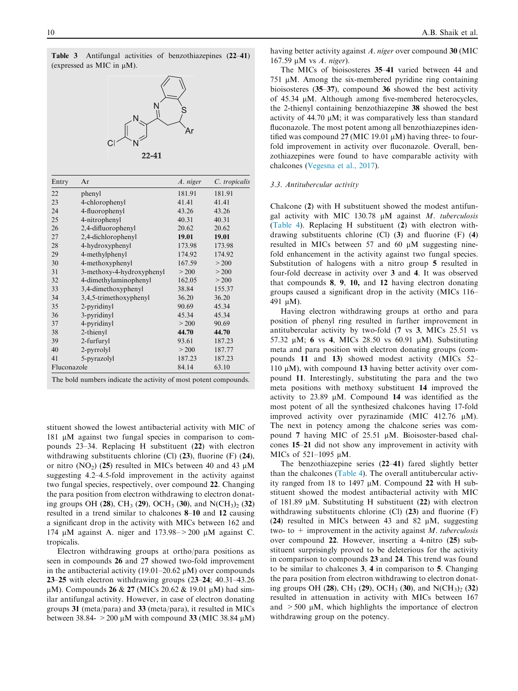| Antifungal activities of benzothiazepines (22–41)<br>Table 3<br>(expressed as MIC in $\mu$ M). |                                                                  |          |               |  |  |
|------------------------------------------------------------------------------------------------|------------------------------------------------------------------|----------|---------------|--|--|
| Ν<br>Ar<br>$22 - 41$                                                                           |                                                                  |          |               |  |  |
| Entry                                                                                          | Ar                                                               | A. niger | C. tropicalis |  |  |
| 22                                                                                             | phenyl                                                           | 181.91   | 181.91        |  |  |
| 23                                                                                             | 4-chlorophenyl                                                   | 41.41    | 41.41         |  |  |
| 24                                                                                             | 4-fluorophenyl                                                   | 43.26    | 43.26         |  |  |
| 25                                                                                             | 4-nitrophenyl                                                    | 40.31    | 40.31         |  |  |
| 26                                                                                             | 2,4-difluorophenyl                                               | 20.62    | 20.62         |  |  |
| 27                                                                                             | 2,4-dichlorophenyl                                               | 19.01    | 19.01         |  |  |
| 28                                                                                             | 4-hydroxyphenyl                                                  | 173.98   | 173.98        |  |  |
| 29                                                                                             | 4-methylphenyl                                                   | 174.92   | 174.92        |  |  |
| 30                                                                                             | 4-methoxyphenyl                                                  | 167.59   | > 200         |  |  |
| 31                                                                                             | 3-methoxy-4-hydroxyphenyl                                        | > 200    | > 200         |  |  |
| 32                                                                                             | 4-dimethylaminophenyl                                            | 162.05   | > 200         |  |  |
| 33                                                                                             | 3,4-dimethoxyphenyl                                              | 38.84    | 155.37        |  |  |
| 34                                                                                             | 3,4,5-trimethoxyphenyl                                           | 36.20    | 36.20         |  |  |
| 35                                                                                             | 2-pyridinyl                                                      | 90.69    | 45.34         |  |  |
| 36                                                                                             | 3-pyridinyl                                                      | 45.34    | 45.34         |  |  |
| 37                                                                                             | 4-pyridinyl                                                      | > 200    | 90.69         |  |  |
| 38                                                                                             | 2-thienyl                                                        | 44.70    | 44.70         |  |  |
| 39                                                                                             | 2-furfuryl                                                       | 93.61    | 187.23        |  |  |
| 40                                                                                             | 2-pyrrolyl                                                       | > 200    | 187.77        |  |  |
| 41                                                                                             | 5-pyrazolyl                                                      | 187.23   | 187.23        |  |  |
|                                                                                                | 84.14<br>63.10<br>Fluconazole                                    |          |               |  |  |
|                                                                                                | The bold numbers indicate the activity of most potent compounds. |          |               |  |  |

stituent showed the lowest antibacterial activity with MIC of 181  $\mu$ M against two fungal species in comparison to compounds 23–34. Replacing H substituent (22) with electron withdrawing substituents chlorine (Cl) (23), fluorine (F) (24), or nitro  $(NO_2)$  (25) resulted in MICs between 40 and 43  $\mu$ M suggesting 4.2–4.5-fold improvement in the activity against two fungal species, respectively, over compound 22. Changing the para position from electron withdrawing to electron donating groups OH (28), CH<sub>3</sub> (29), OCH<sub>3</sub> (30), and N(CH<sub>3</sub>)<sub>2</sub> (32) resulted in a trend similar to chalcones 8–10 and 12 causing a significant drop in the activity with MICs between 162 and 174  $\mu$ M against A. niger and 173.98 –  $>$  200  $\mu$ M against C. tropicalis.

Electron withdrawing groups at ortho/para positions as seen in compounds 26 and 27 showed two-fold improvement in the antibacterial activity (19.01–20.62  $\mu$ M) over compounds 23–25 with electron withdrawing groups (23–24; 40.31–43.26  $\mu$ M). Compounds 26 & 27 (MICs 20.62 & 19.01  $\mu$ M) had similar antifungal activity. However, in case of electron donating groups 31 (meta/para) and 33 (meta/para), it resulted in MICs between 38.84-  $>$  200 µM with compound 33 (MIC 38.84 µM) having better activity against A, niger over compound 30 (MIC  $167.59$  µM vs  $A.$  niger).

The MICs of bioisosteres 35–41 varied between 44 and 751  $\mu$ M. Among the six-membered pyridine ring containing bioisosteres (35–37), compound 36 showed the best activity of  $45.34 \mu M$ . Although among five-membered heterocycles, the 2-thienyl containing benzothiazepine 38 showed the best activity of  $44.70 \mu M$ ; it was comparatively less than standard fluconazole. The most potent among all benzothiazepines identified was compound 27 (MIC 19.01  $\mu$ M) having three- to fourfold improvement in activity over fluconazole. Overall, benzothiazepines were found to have comparable activity with chalcones (Vegesna et al., 2017).

#### 3.3. Antitubercular activity

Chalcone (2) with H substituent showed the modest antifungal activity with MIC 130.78  $\mu$ M against *M. tuberculosis* (Table 4). Replacing H substituent (2) with electron withdrawing substituents chlorine (Cl) (3) and fluorine (F) (4) resulted in MICs between  $57$  and  $60 \mu$ M suggesting ninefold enhancement in the activity against two fungal species. Substitution of halogens with a nitro group 5 resulted in four-fold decrease in activity over 3 and 4. It was observed that compounds 8, 9, 10, and 12 having electron donating groups caused a significant drop in the activity (MICs 116– 491 μM).

Having electron withdrawing groups at ortho and para position of phenyl ring resulted in further improvement in antitubercular activity by two-fold (7 vs 3, MICs 25.51 vs 57.32  $\mu$ M; 6 vs 4, MICs 28.50 vs 60.91  $\mu$ M). Substituting meta and para position with electron donating groups (compounds 11 and 13) showed modest activity (MICs 52– 110  $\mu$ M), with compound 13 having better activity over compound 11. Interestingly, substituting the para and the two meta positions with methoxy substituent 14 improved the activity to  $23.89 \mu M$ . Compound 14 was identified as the most potent of all the synthesized chalcones having 17-fold improved activity over pyrazinamide (MIC 412.76  $\mu$ M). The next in potency among the chalcone series was compound 7 having MIC of  $25.51 \mu M$ . Bioisoster-based chalcones 15–21 did not show any improvement in activity with MICs of 521-1095 μM.

The benzothiazepine series (22–41) fared slightly better than the chalcones (Table 4). The overall antitubercular activity ranged from 18 to 1497  $\mu$ M. Compound 22 with H substituent showed the modest antibacterial activity with MIC of 181.89  $\mu$ M. Substituting H substituent (22) with electron withdrawing substituents chlorine (Cl) (23) and fluorine (F) (24) resulted in MICs between 43 and 82  $\mu$ M, suggesting two- to  $+$  improvement in the activity against *M*. tuberculosis over compound 22. However, inserting a 4-nitro (25) substituent surprisingly proved to be deleterious for the activity in comparison to compounds 23 and 24. This trend was found to be similar to chalcones 3, 4 in comparison to 5. Changing the para position from electron withdrawing to electron donating groups OH (28), CH<sub>3</sub> (29), OCH<sub>3</sub> (30), and N(CH<sub>3</sub>)<sub>2</sub> (32) resulted in attenuation in activity with MICs between 167 and  $>500 \mu M$ , which highlights the importance of electron withdrawing group on the potency.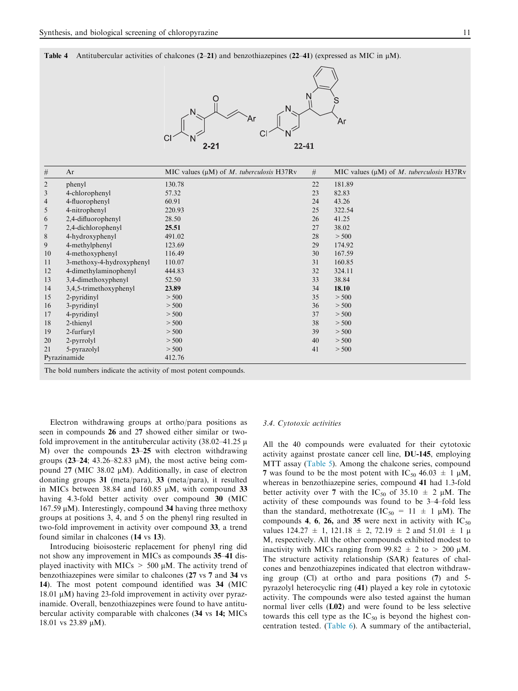Table 4 Antitubercular activities of chalcones (2–21) and benzothiazepines (22–41) (expressed as MIC in  $\mu$ M).



| $\#$           | Ar                                                               | MIC values $(\mu M)$ of M. tuberculosis H37Rv | #  | MIC values $(\mu M)$ of M. tuberculosis H37Rv |
|----------------|------------------------------------------------------------------|-----------------------------------------------|----|-----------------------------------------------|
| $\overline{2}$ | phenyl                                                           | 130.78                                        | 22 | 181.89                                        |
| 3              | 4-chlorophenyl                                                   | 57.32                                         | 23 | 82.83                                         |
| $\overline{4}$ | 4-fluorophenyl                                                   | 60.91                                         | 24 | 43.26                                         |
| 5              | 4-nitrophenyl                                                    | 220.93                                        | 25 | 322.54                                        |
| 6              | 2,4-difluorophenyl                                               | 28.50                                         | 26 | 41.25                                         |
| $\overline{7}$ | 2,4-dichlorophenyl                                               | 25.51                                         | 27 | 38.02                                         |
| $\,8\,$        | 4-hydroxyphenyl                                                  | 491.02                                        | 28 | > 500                                         |
| 9              | 4-methylphenyl                                                   | 123.69                                        | 29 | 174.92                                        |
| 10             | 4-methoxyphenyl                                                  | 116.49                                        | 30 | 167.59                                        |
| 11             | 3-methoxy-4-hydroxyphenyl                                        | 110.07                                        | 31 | 160.85                                        |
| 12             | 4-dimethylaminophenyl                                            | 444.83                                        | 32 | 324.11                                        |
| 13             | 3,4-dimethoxyphenyl                                              | 52.50                                         | 33 | 38.84                                         |
| 14             | 3,4,5-trimethoxyphenyl                                           | 23.89                                         | 34 | 18.10                                         |
| 15             | 2-pyridinyl                                                      | > 500                                         | 35 | > 500                                         |
| 16             | 3-pyridinyl                                                      | > 500                                         | 36 | > 500                                         |
| 17             | 4-pyridinyl                                                      | > 500                                         | 37 | > 500                                         |
| 18             | 2-thienyl                                                        | > 500                                         | 38 | > 500                                         |
| 19             | 2-furfuryl                                                       | > 500                                         | 39 | > 500                                         |
| 20             | 2-pyrrolyl                                                       | > 500                                         | 40 | > 500                                         |
| 21             | 5-pyrazolyl                                                      | > 500                                         | 41 | > 500                                         |
| Pyrazinamide   |                                                                  | 412.76                                        |    |                                               |
|                | The bold numbers indicate the activity of most potent compounds. |                                               |    |                                               |

Electron withdrawing groups at ortho/para positions as seen in compounds 26 and 27 showed either similar or twofold improvement in the antitubercular activity  $(38.02-41.25 \mu)$ M) over the compounds 23–25 with electron withdrawing groups  $(23-24; 43.26-82.83 \mu M)$ , the most active being compound 27 (MIC 38.02  $\mu$ M). Additionally, in case of electron donating groups 31 (meta/para), 33 (meta/para), it resulted in MICs between 38.84 and 160.85  $\mu$ M, with compound 33 having 4.3-fold better activity over compound 30 (MIC  $167.59 \mu M$ ). Interestingly, compound 34 having three methoxy groups at positions 3, 4, and 5 on the phenyl ring resulted in two-fold improvement in activity over compound 33, a trend found similar in chalcones (14 vs 13).

Introducing bioisosteric replacement for phenyl ring did not show any improvement in MICs as compounds 35–41 displayed inactivity with MICs  $> 500 \mu$ M. The activity trend of benzothiazepines were similar to chalcones (27 vs 7 and 34 vs 14). The most potent compound identified was 34 (MIC  $18.01 \mu M$ ) having 23-fold improvement in activity over pyrazinamide. Overall, benzothiazepines were found to have antitubercular activity comparable with chalcones (34 vs 14; MICs 18.01 vs 23.89  $\mu$ M).

#### 3.4. Cytotoxic activities

All the 40 compounds were evaluated for their cytotoxic activity against prostate cancer cell line, DU-145, employing MTT assay (Table 5). Among the chalcone series, compound 7 was found to be the most potent with  $IC_{50}$  46.03  $\pm$  1  $\mu$ M, whereas in benzothiazepine series, compound 41 had 1.3-fold better activity over 7 with the IC<sub>50</sub> of 35.10  $\pm$  2  $\mu$ M. The activity of these compounds was found to be 3–4–fold less than the standard, methotrexate  $(IC_{50} = 11 \pm 1 \mu M)$ . The compounds 4, 6, 26, and 35 were next in activity with  $IC_{50}$ values  $124.27 \pm 1$ ,  $121.18 \pm 2$ ,  $72.19 \pm 2$  and  $51.01 \pm 1 \mu$ M, respectively. All the other compounds exhibited modest to inactivity with MICs ranging from  $99.82 \pm 2$  to  $> 200 \mu M$ . The structure activity relationship (SAR) features of chalcones and benzothiazepines indicated that electron withdrawing group (Cl) at ortho and para positions (7) and 5 pyrazolyl heterocyclic ring (41) played a key role in cytotoxic activity. The compounds were also tested against the human normal liver cells (L02) and were found to be less selective towards this cell type as the  $IC_{50}$  is beyond the highest concentration tested. (Table 6). A summary of the antibacterial,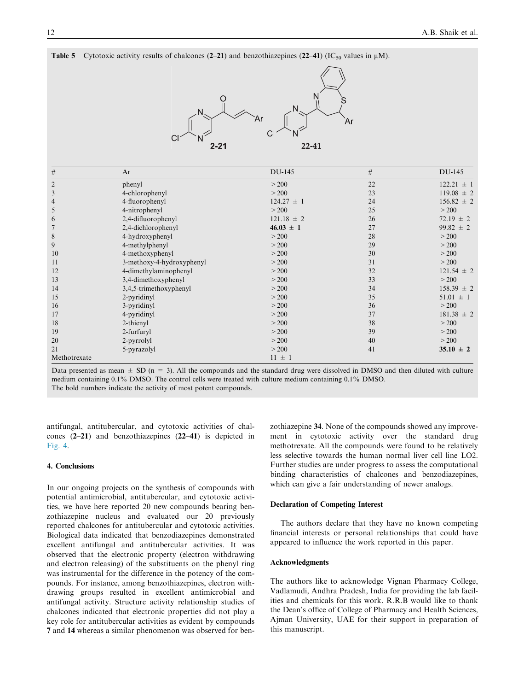| Table 5        |                                    | Cytotoxic activity results of chalcones (2–21) and benzothiazepines (22–41) (IC <sub>50</sub> values in $\mu$ M). |        |                |  |  |
|----------------|------------------------------------|-------------------------------------------------------------------------------------------------------------------|--------|----------------|--|--|
|                | N<br>Ar<br>Άr<br>$2 - 21$<br>22-41 |                                                                                                                   |        |                |  |  |
| $\#$           | Ar                                 | DU-145                                                                                                            | $\#$   | DU-145         |  |  |
| $\mathfrak{2}$ | phenyl                             | > 200                                                                                                             | 22     | $122.21 \pm 1$ |  |  |
| 3              | 4-chlorophenyl                     | > 200                                                                                                             | 23     | $119.08 \pm 2$ |  |  |
| $\overline{4}$ | 4-fluorophenyl                     | $124.27 \pm 1$                                                                                                    | 24     | $156.82 \pm 2$ |  |  |
| 5              | 4-nitrophenyl                      | > 200                                                                                                             | 25     | > 200          |  |  |
| 6              | 2,4-difluorophenyl                 | $121.18 \pm 2$                                                                                                    | $26\,$ | $72.19 \pm 2$  |  |  |
| 7              | 2,4-dichlorophenyl                 | $46.03 \pm 1$                                                                                                     | 27     | $99.82 \pm 2$  |  |  |
| 8              | 4-hydroxyphenyl                    | > 200                                                                                                             | 28     | > 200          |  |  |
| 9              | 4-methylphenyl                     | > 200                                                                                                             | 29     | > 200          |  |  |
| 10             | 4-methoxyphenyl                    | > 200                                                                                                             | 30     | > 200          |  |  |
| 11             | 3-methoxy-4-hydroxyphenyl          | > 200                                                                                                             | 31     | > 200          |  |  |
| 12             | 4-dimethylaminophenyl              | > 200                                                                                                             | 32     | $121.54 \pm 2$ |  |  |
| 13             | 3,4-dimethoxyphenyl                | > 200                                                                                                             | 33     | > 200          |  |  |
| 14             | 3,4,5-trimethoxyphenyl             | > 200                                                                                                             | 34     | $158.39 \pm 2$ |  |  |
| 15             | 2-pyridinyl                        | > 200                                                                                                             | 35     | $51.01 \pm 1$  |  |  |
| 16             | 3-pyridinyl                        | > 200                                                                                                             | 36     | > 200          |  |  |
| 17             | 4-pyridinyl                        | > 200                                                                                                             | 37     | $181.38 \pm 2$ |  |  |
| 18             | 2-thienyl                          | > 200                                                                                                             | 38     | > 200          |  |  |
| 19             | 2-furfuryl                         | > 200                                                                                                             | 39     | > 200          |  |  |
| 20             | 2-pyrrolyl                         | > 200                                                                                                             | 40     | > 200          |  |  |
| 21             | 5-pyrazolyl                        | $>200$                                                                                                            | 41     | $35.10 \pm 2$  |  |  |
| Methotrexate   |                                    | $11 \pm 1$                                                                                                        |        |                |  |  |

Data presented as mean  $\pm$  SD (n = 3). All the compounds and the standard drug were dissolved in DMSO and then diluted with culture medium containing 0.1% DMSO. The control cells were treated with culture medium containing 0.1% DMSO. The bold numbers indicate the activity of most potent compounds.

antifungal, antitubercular, and cytotoxic activities of chalcones (2–21) and benzothiazepines (22–41) is depicted in Fig. 4.

# 4. Conclusions

In our ongoing projects on the synthesis of compounds with potential antimicrobial, antitubercular, and cytotoxic activities, we have here reported 20 new compounds bearing benzothiazepine nucleus and evaluated our 20 previously reported chalcones for antitubercular and cytotoxic activities. Biological data indicated that benzodiazepines demonstrated excellent antifungal and antitubercular activities. It was observed that the electronic property (electron withdrawing and electron releasing) of the substituents on the phenyl ring was instrumental for the difference in the potency of the compounds. For instance, among benzothiazepines, electron withdrawing groups resulted in excellent antimicrobial and antifungal activity. Structure activity relationship studies of chalcones indicated that electronic properties did not play a key role for antitubercular activities as evident by compounds 7 and 14 whereas a similar phenomenon was observed for benzothiazepine 34. None of the compounds showed any improvement in cytotoxic activity over the standard drug methotrexate. All the compounds were found to be relatively less selective towards the human normal liver cell line LO2. Further studies are under progress to assess the computational binding characteristics of chalcones and benzodiazepines, which can give a fair understanding of newer analogs.

# Declaration of Competing Interest

The authors declare that they have no known competing financial interests or personal relationships that could have appeared to influence the work reported in this paper.

# Acknowledgments

The authors like to acknowledge Vignan Pharmacy College, Vadlamudi, Andhra Pradesh, India for providing the lab facilities and chemicals for this work. R.R.B would like to thank the Dean's office of College of Pharmacy and Health Sciences, Ajman University, UAE for their support in preparation of this manuscript.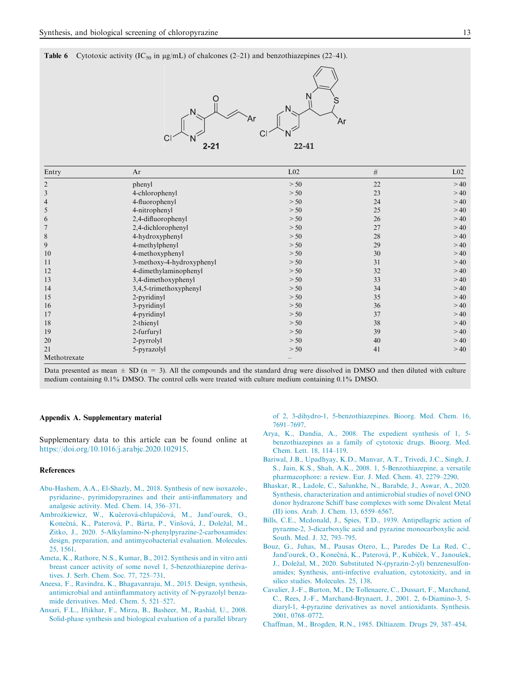**Table 6** Cytotoxic activity (IC<sub>50</sub> in  $\mu$ g/mL) of chalcones (2–21) and benzothiazepines (22–41).



| Entry          | Ar                        | L <sub>02</sub> | #  | $L_{02}$ |
|----------------|---------------------------|-----------------|----|----------|
| 2              | phenyl                    | > 50            | 22 | >40      |
| 3              | 4-chlorophenyl            | > 50            | 23 | >40      |
| $\overline{4}$ | 4-fluorophenyl            | > 50            | 24 | >40      |
| 5              | 4-nitrophenyl             | > 50            | 25 | >40      |
| 6              | 2,4-difluorophenyl        | > 50            | 26 | >40      |
| 7              | 2,4-dichlorophenyl        | > 50            | 27 | >40      |
| 8              | 4-hydroxyphenyl           | > 50            | 28 | >40      |
| 9              | 4-methylphenyl            | > 50            | 29 | >40      |
| 10             | 4-methoxyphenyl           | > 50            | 30 | >40      |
| 11             | 3-methoxy-4-hydroxyphenyl | > 50            | 31 | >40      |
| 12             | 4-dimethylaminophenyl     | > 50            | 32 | >40      |
| 13             | 3,4-dimethoxyphenyl       | > 50            | 33 | >40      |
| 14             | 3,4,5-trimethoxyphenyl    | > 50            | 34 | >40      |
| 15             | 2-pyridinyl               | > 50            | 35 | >40      |
| 16             | 3-pyridinyl               | > 50            | 36 | >40      |
| 17             | 4-pyridinyl               | > 50            | 37 | >40      |
| 18             | 2-thienyl                 | > 50            | 38 | >40      |
| 19             | 2-furfuryl                | > 50            | 39 | >40      |
| 20             | 2-pyrrolyl                | > 50            | 40 | >40      |
| 21             | 5-pyrazolyl               | > 50            | 41 | >40      |
| Methotrexate   |                           |                 |    |          |

Data presented as mean  $\pm$  SD (n = 3). All the compounds and the standard drug were dissolved in DMSO and then diluted with culture medium containing 0.1% DMSO. The control cells were treated with culture medium containing 0.1% DMSO.

#### Appendix A. Supplementary material

Supplementary data to this article can be found online at https://doi.org/10.1016/j.arabjc.2020.102915.

#### References

- Abu-Hashem, A.A., El-Shazly, M., 2018. Synthesis of new isoxazole-, pyridazine-, pyrimidopyrazines and their anti-inflammatory and analgesic activity. Med. Chem. 14, 356–371.
- Ambrożkiewicz, W., Kučerová-chlupáčová, M., Jand'ourek, O., Konečná, K., Paterová, P., Bárta, P., Vinšová, J., Doležal, M., Zitko, J., 2020. 5-Alkylamino-N-phenylpyrazine-2-carboxamides: design, preparation, and antimycobacterial evaluation. Molecules. 25, 1561.
- Ameta, K., Rathore, N.S., Kumar, B., 2012. Synthesis and in vitro anti breast cancer activity of some novel 1, 5-benzothiazepine derivatives. J. Serb. Chem. Soc. 77, 725–731.
- Aneesa, F., Ravindra, K., Bhagavanraju, M., 2015. Design, synthesis, antimicrobial and antiinflammatory activity of N-pyrazolyl benzamide derivatives. Med. Chem. 5, 521–527.
- Ansari, F.L., Iftikhar, F., Mirza, B., Basheer, M., Rashid, U., 2008. Solid-phase synthesis and biological evaluation of a parallel library

of 2, 3-dihydro-1, 5-benzothiazepines. Bioorg. Med. Chem. 16, 7691–7697.

- Arya, K., Dandia, A., 2008. The expedient synthesis of 1, 5 benzothiazepines as a family of cytotoxic drugs. Bioorg. Med. Chem. Lett. 18, 114–119.
- Bariwal, J.B., Upadhyay, K.D., Manvar, A.T., Trivedi, J.C., Singh, J. S., Jain, K.S., Shah, A.K., 2008. 1, 5-Benzothiazepine, a versatile pharmacophore: a review. Eur. J. Med. Chem. 43, 2279–2290.
- Bhaskar, R., Ladole, C., Salunkhe, N., Barabde, J., Aswar, A., 2020. Synthesis, characterization and antimicrobial studies of novel ONO donor hydrazone Schiff base complexes with some Divalent Metal (II) ions. Arab. J. Chem. 13, 6559–6567.
- Bills, C.E., Mcdonald, J., Spies, T.D., 1939. Antipellagric action of pyrazme-2, 3-dicarboxylic acid and pyrazine monocarboxylic acid. South. Med. J. 32, 793–795.
- Bouz, G., Juhas, M., Pausas Otero, L., Paredes De La Red, C., Jand'ourek, O., Konečná, K., Paterová, P., Kubíček, V., Janoušek, J., Doležal, M., 2020. Substituted N-(pyrazin-2-yl) benzenesulfonamides; Synthesis, anti-infective evaluation, cytotoxicity, and in silico studies. Molecules. 25, 138.
- Cavalier, J.-F., Burton, M., De Tollenaere, C., Dussart, F., Marchand, C., Rees, J.-F., Marchand-Brynaert, J., 2001. 2, 6-Diamino-3, 5 diaryl-1, 4-pyrazine derivatives as novel antioxidants. Synthesis. 2001, 0768–0772.
- Chaffman, M., Brogden, R.N., 1985. Diltiazem. Drugs 29, 387–454.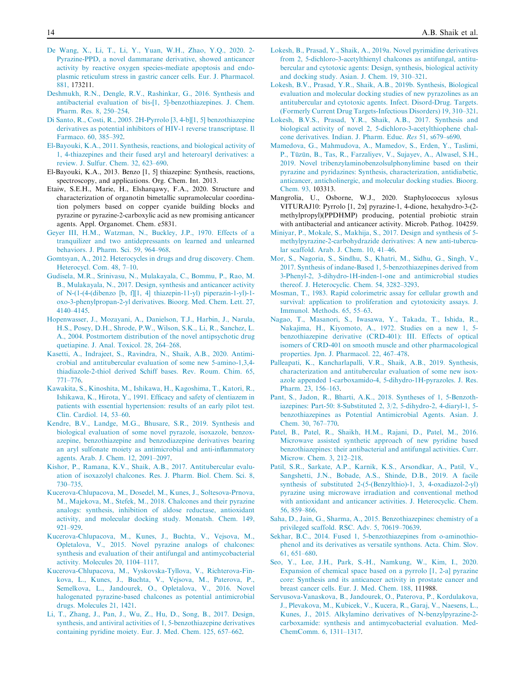- De Wang, X., Li, T., Li, Y., Yuan, W.H., Zhao, Y.Q., 2020. 2- Pyrazine-PPD, a novel dammarane derivative, showed anticancer activity by reactive oxygen species-mediate apoptosis and endoplasmic reticulum stress in gastric cancer cells. Eur. J. Pharmacol. 881, 173211.
- Deshmukh, R.N., Dengle, R.V., Rashinkar, G., 2016. Synthesis and antibacterial evaluation of bis-[1, 5]-benzothiazepines. J. Chem. Pharm. Res. 8, 250–254.
- Di Santo, R., Costi, R., 2005. 2H-Pyrrolo [3, 4-b][1, 5] benzothiazepine derivatives as potential inhibitors of HIV-1 reverse transcriptase. Il Farmaco. 60, 385–392.
- El-Bayouki, K.A., 2011. Synthesis, reactions, and biological activity of 1, 4-thiazepines and their fused aryl and heteroaryl derivatives: a review. J. Sulfur. Chem. 32, 623–690.
- El-Bayouki, K.A., 2013. Benzo [1, 5] thiazepine: Synthesis, reactions, spectroscopy, and applications. Org. Chem. Int. 2013.
- Etaiw, S.E.H., Marie, H., Elsharqawy, F.A., 2020. Structure and characterization of organotin bimetallic supramolecular coordination polymers based on copper cyanide building blocks and pyrazine or pyrazine-2-carboxylic acid as new promising anticancer agents. Appl. Organomet. Chem. e5831.
- Geyer III, H.M., Watzman, N., Buckley, J.P., 1970. Effects of a tranquilizer and two antidepressants on learned and unlearned behaviors. J. Pharm. Sci. 59, 964–968.
- Gomtsyan, A., 2012. Heterocycles in drugs and drug discovery. Chem. Heterocycl. Com. 48, 7–10.
- Gudisela, M.R., Srinivasu, N., Mulakayala, C., Bommu, P., Rao, M. B., Mulakayala, N., 2017. Design, synthesis and anticancer activity of N-(1-(4-(dibenzo [b, f][1, 4] thiazepin-11-yl) piperazin-1-yl)-1 oxo-3-phenylpropan-2-yl derivatives. Bioorg. Med. Chem. Lett. 27, 4140–4145.
- Hopenwasser, J., Mozayani, A., Danielson, T.J., Harbin, J., Narula, H.S., Posey, D.H., Shrode, P.W., Wilson, S.K., Li, R., Sanchez, L. A., 2004. Postmortem distribution of the novel antipsychotic drug quetiapine. J. Anal. Toxicol. 28, 264–268.
- Kasetti, A., Indrajeet, S., Ravindra, N., Shaik, A.B., 2020. Antimicrobial and antitubercular evaluation of some new 5-amino-1,3,4 thiadiazole-2-thiol derived Schiff bases. Rev. Roum. Chim. 65, 771–776.
- Kawakita, S., Kinoshita, M., Ishikawa, H., Kagoshima, T., Katori, R., Ishikawa, K., Hirota, Y., 1991. Efficacy and safety of clentiazem in patients with essential hypertension: results of an early pilot test. Clin. Cardiol. 14, 53–60.
- Kendre, B.V., Landge, M.G., Bhusare, S.R., 2019. Synthesis and biological evaluation of some novel pyrazole, isoxazole, benzoxazepine, benzothiazepine and benzodiazepine derivatives bearing an aryl sulfonate moiety as antimicrobial and anti-inflammatory agents. Arab. J. Chem. 12, 2091–2097.
- Kishor, P., Ramana, K.V., Shaik, A.B., 2017. Antitubercular evaluation of isoxazolyl chalcones. Res. J. Pharm. Biol. Chem. Sci. 8, 730–735.
- Kucerova-Chlupacova, M., Dosedel, M., Kunes, J., Soltesova-Prnova, M., Majekova, M., Stefek, M., 2018. Chalcones and their pyrazine analogs: synthesis, inhibition of aldose reductase, antioxidant activity, and molecular docking study. Monatsh. Chem. 149, 921–929.
- Kucerova-Chlupacova, M., Kunes, J., Buchta, V., Vejsova, M., Opletalova, V., 2015. Novel pyrazine analogs of chalcones: synthesis and evaluation of their antifungal and antimycobacterial activity. Molecules 20, 1104–1117.
- Kucerova-Chlupacova, M., Vyskovska-Tyllova, V., Richterova-Finkova, L., Kunes, J., Buchta, V., Vejsova, M., Paterova, P., Semelkova, L., Jandourek, O., Opletalova, V., 2016. Novel halogenated pyrazine-based chalcones as potential antimicrobial drugs. Molecules 21, 1421.
- Li, T., Zhang, J., Pan, J., Wu, Z., Hu, D., Song, B., 2017. Design, synthesis, and antiviral activities of 1, 5-benzothiazepine derivatives containing pyridine moiety. Eur. J. Med. Chem. 125, 657–662.
- Lokesh, B., Prasad, Y., Shaik, A., 2019a. Novel pyrimidine derivatives from 2, 5-dichloro-3-acetylthienyl chalcones as antifungal, antitubercular and cytotoxic agents: Design, synthesis, biological activity and docking study. Asian. J. Chem. 19, 310–321.
- Lokesh, B.V., Prasad, Y.R., Shaik, A.B., 2019b. Synthesis, Biological evaluation and molecular docking studies of new pyrazolines as an antitubercular and cytotoxic agents. Infect. Disord-Drug. Targets. (Formerly Current Drug Targets-Infectious Disorders) 19, 310–321.
- Lokesh, B.V.S., Prasad, Y.R., Shaik, A.B., 2017. Synthesis and biological activity of novel 2, 5-dichloro-3-acetylthiophene chalcone derivatives. Indian. J. Pharm. Educ. Res 51, s679–s690.
- Mamedova, G., Mahmudova, A., Mamedov, S., Erden, Y., Taslimi, P., Tüzün, B., Tas, R., Farzaliyev, V., Sujayev, A., Alwasel, S.H., 2019. Novel tribenzylaminobenzolsulphonylimine based on their pyrazine and pyridazines: Synthesis, characterization, antidiabetic, anticancer, anticholinergic, and molecular docking studies. Bioorg. Chem. 93, 103313.
- Mangrolia, U., Osborne, W.J., 2020. Staphylococcus xylosus VITURAJ10: Pyrrolo [1, 2a] pyrazine-1, 4-dione, hexahydro-3-(2 methylpropyl)(PPDHMP) producing, potential probiotic strain with antibacterial and anticancer activity. Microb. Pathog. 104259.
- Miniyar, P., Mokale, S., Makhija, S., 2017. Design and synthesis of 5 methylpyrazine-2-carbohydrazide derivatives: A new anti-tubercular scaffold. Arab. J. Chem. 10, 41–46.
- Mor, S., Nagoria, S., Sindhu, S., Khatri, M., Sidhu, G., Singh, V., 2017. Synthesis of indane-Based 1, 5-benzothiazepines derived from 3-Phenyl-2, 3-dihydro-1H-inden-1-one and antimicrobial studies thereof. J. Heterocyclic. Chem. 54, 3282–3293.
- Mosman, T., 1983. Rapid colorimetric assay for cellular growth and survival: application to proliferation and cytotoxicity assays. J. Immunol. Methods. 65, 55–63.
- Nagao, T., Masanori, S., Iwasawa, Y., Takada, T., Ishida, R., Nakajima, H., Kiyomoto, A., 1972. Studies on a new 1, 5 benzothiazepine derivative (CRD-401): III. Effects of optical isomers of CRD-401 on smooth muscle and other pharmacological properties. Jpn. J. Pharmacol. 22, 467–478.
- Palleapati, K., Kancharlapalli, V.R., Shaik, A.B., 2019. Synthesis, characterization and antitubercular evaluation of some new isoxazole appended 1-carboxamido-4, 5-dihydro-1H-pyrazoles. J. Res. Pharm. 23, 156–163.
- Pant, S., Jadon, R., Bharti, A.K., 2018. Syntheses of 1, 5-Benzothiazepines: Part-50: 8-Substituted 2, 3/2, 5-dihydro-2, 4-diaryl-1, 5 benzothiazepines as Potential Antimicrobial Agents. Asian. J. Chem. 30, 767–770.
- Patel, B., Patel, R., Shaikh, H.M., Rajani, D., Patel, M., 2016. Microwave assisted synthetic approach of new pyridine based benzothiazepines: their antibacterial and antifungal activities. Curr. Microw. Chem. 3, 212–218.
- Patil, S.R., Sarkate, A.P., Karnik, K.S., Arsondkar, A., Patil, V., Sangshetti, J.N., Bobade, A.S., Shinde, D.B., 2019. A facile synthesis of substituted 2-(5-(Benzylthio)-1, 3, 4-oxadiazol-2-yl) pyrazine using microwave irradiation and conventional method with antioxidant and anticancer activities. J. Heterocyclic. Chem. 56, 859–866.
- Saha, D., Jain, G., Sharma, A., 2015. Benzothiazepines: chemistry of a privileged scaffold. RSC. Adv. 5, 70619–70639.
- Sekhar, B.C., 2014. Fused 1, 5-benzothiazepines from o-aminothiophenol and its derivatives as versatile synthons. Acta. Chim. Slov. 61, 651–680.
- Seo, Y., Lee, J.H., Park, S.-H., Namkung, W., Kim, I., 2020. Expansion of chemical space based on a pyrrolo [1, 2-a] pyrazine core: Synthesis and its anticancer activity in prostate cancer and breast cancer cells. Eur. J. Med. Chem. 188, 111988.
- Servusova-Vanaskova, B., Jandourek, O., Paterova, P., Kordulakova, J., Plevakova, M., Kubicek, V., Kucera, R., Garaj, V., Naesens, L., Kunes, J., 2015. Alkylamino derivatives of N-benzylpyrazine-2 carboxamide: synthesis and antimycobacterial evaluation. Med-ChemComm. 6, 1311–1317.